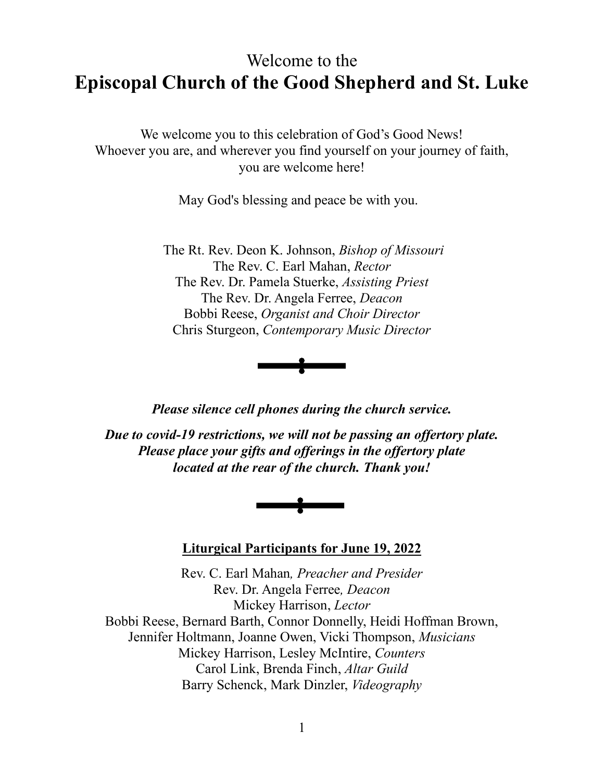# Welcome to the **Episcopal Church of the Good Shepherd and St. Luke**

We welcome you to this celebration of God's Good News! Whoever you are, and wherever you find yourself on your journey of faith, you are welcome here!

May God's blessing and peace be with you.

The Rt. Rev. Deon K. Johnson, *Bishop of Missouri* The Rev. C. Earl Mahan, *Rector* The Rev. Dr. Pamela Stuerke, *Assisting Priest* The Rev. Dr. Angela Ferree, *Deacon* Bobbi Reese, *Organist and Choir Director* Chris Sturgeon, *Contemporary Music Director*



*Please silence cell phones during the church service.*

*Due to covid-19 restrictions, we will not be passing an offertory plate. Please place your gifts and offerings in the offertory plate located at the rear of the church. Thank you!*



#### **Liturgical Participants for June 19, 2022**

Rev. C. Earl Mahan*, Preacher and Presider* Rev. Dr. Angela Ferree*, Deacon* Mickey Harrison, *Lector* Bobbi Reese, Bernard Barth, Connor Donnelly, Heidi Hoffman Brown, Jennifer Holtmann, Joanne Owen, Vicki Thompson, *Musicians* Mickey Harrison, Lesley McIntire, *Counters* Carol Link, Brenda Finch, *Altar Guild* Barry Schenck, Mark Dinzler, *Videography*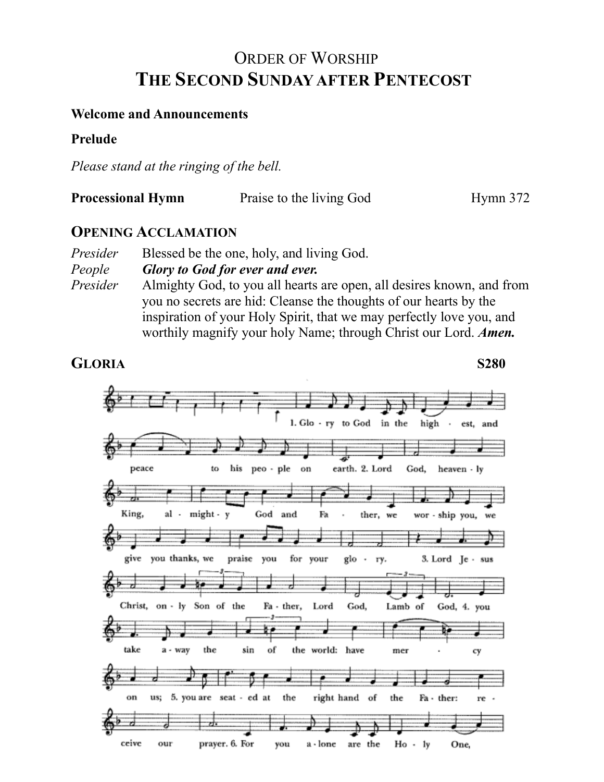# ORDER OF WORSHIP **THE SECOND SUNDAY AFTER PENTECOST**

#### **Welcome and Announcements**

#### **Prelude**

*Please stand at the ringing of the bell.*

| <b>Processional Hymn</b> | Praise to the living God | Hymn 372 |
|--------------------------|--------------------------|----------|
|                          |                          |          |

#### **OPENING ACCLAMATION**

*Presider* Blessed be the one, holy, and living God. *People Glory to God for ever and ever. Presider* Almighty God, to you all hearts are open, all desires known, and from you no secrets are hid: Cleanse the thoughts of our hearts by the inspiration of your Holy Spirit, that we may perfectly love you, and worthily magnify your holy Name; through Christ our Lord. *Amen.*

1. Glo - ry to God in the high  $\sim$ est, and earth. 2. Lord peace to his peo - ple on God, heaven - ly King, al might - y God and Fa ther, we wor - ship you, we give you thanks, we praise you for your glo - ry. 3. Lord Je · sus Christ, on - ly Son of the Lamb of Fa - ther, Lord God, God, 4. you take the sin of the world: have  $a \cdot$  way mer cy 5. you are seat - ed at right hand of on us; the the Fa - ther: re z  $\equiv$ ceive our prayer. 6. For a - lone are the Ho - ly you One,

## **GLORIA S280**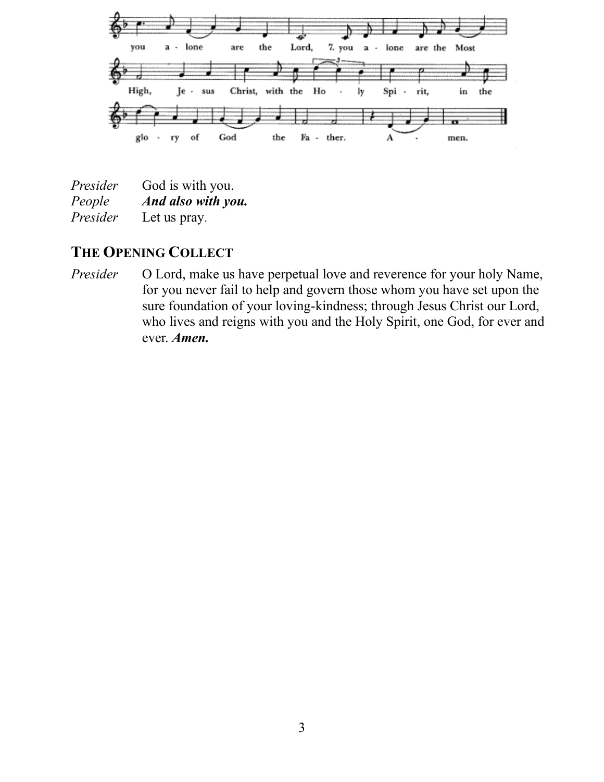

*Presider* God is with you. *People And also with you. Presider* Let us pray.

## **THE OPENING COLLECT**

*Presider* O Lord, make us have perpetual love and reverence for your holy Name, for you never fail to help and govern those whom you have set upon the sure foundation of your loving-kindness; through Jesus Christ our Lord, who lives and reigns with you and the Holy Spirit, one God, for ever and ever. *Amen.*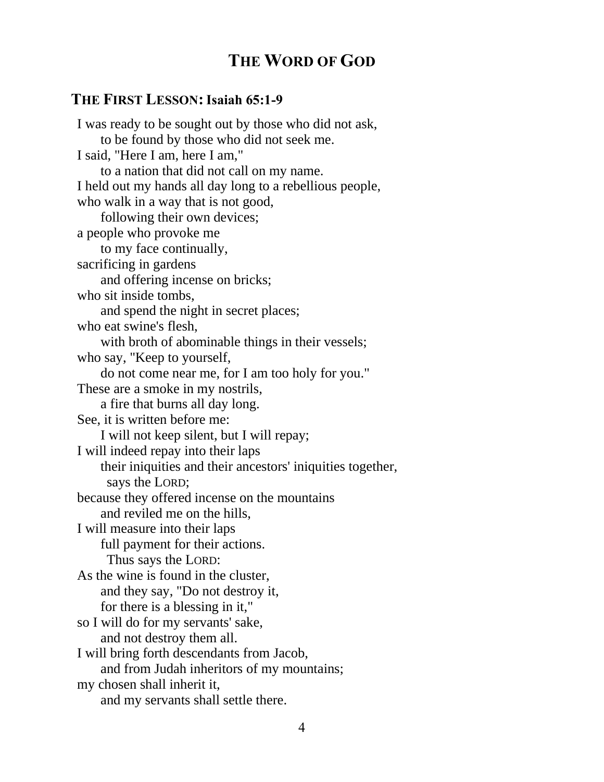# **THE WORD OF GOD**

#### **THE FIRST LESSON:Isaiah 65:1-9**

I was ready to be sought out by those who did not ask, to be found by those who did not seek me. I said, "Here I am, here I am," to a nation that did not call on my name. I held out my hands all day long to a rebellious people, who walk in a way that is not good, following their own devices; a people who provoke me to my face continually, sacrificing in gardens and offering incense on bricks; who sit inside tombs, and spend the night in secret places; who eat swine's flesh, with broth of abominable things in their vessels; who say, "Keep to yourself, do not come near me, for I am too holy for you." These are a smoke in my nostrils, a fire that burns all day long. See, it is written before me: I will not keep silent, but I will repay; I will indeed repay into their laps their iniquities and their ancestors' iniquities together, says the LORD; because they offered incense on the mountains and reviled me on the hills, I will measure into their laps full payment for their actions. Thus says the LORD: As the wine is found in the cluster, and they say, "Do not destroy it, for there is a blessing in it," so I will do for my servants' sake, and not destroy them all. I will bring forth descendants from Jacob, and from Judah inheritors of my mountains; my chosen shall inherit it, and my servants shall settle there.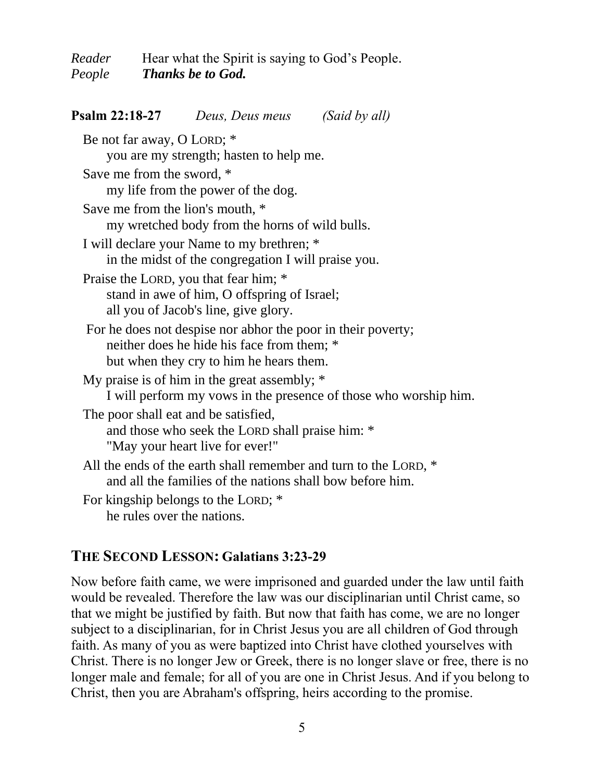*Reader* Hear what the Spirit is saying to God's People. *People Thanks be to God.*

|                                  | <b>Psalm 22:18-27</b> Deus, Deus meus                                                                                                                 | (Said by all)                                                    |
|----------------------------------|-------------------------------------------------------------------------------------------------------------------------------------------------------|------------------------------------------------------------------|
| Be not far away, O LORD; *       | you are my strength; hasten to help me.                                                                                                               |                                                                  |
| Save me from the sword, *        | my life from the power of the dog.                                                                                                                    |                                                                  |
| Save me from the lion's mouth, * | my wretched body from the horns of wild bulls.                                                                                                        |                                                                  |
|                                  | I will declare your Name to my brethren; *<br>in the midst of the congregation I will praise you.                                                     |                                                                  |
|                                  | Praise the LORD, you that fear him; *<br>stand in awe of him, O offspring of Israel;<br>all you of Jacob's line, give glory.                          |                                                                  |
|                                  | For he does not despise nor abhor the poor in their poverty;<br>neither does he hide his face from them; *<br>but when they cry to him he hears them. |                                                                  |
|                                  | My praise is of him in the great assembly; $*$                                                                                                        | I will perform my vows in the presence of those who worship him. |
|                                  | The poor shall eat and be satisfied,<br>and those who seek the LORD shall praise him: *<br>"May your heart live for ever!"                            |                                                                  |
|                                  | and all the families of the nations shall bow before him.                                                                                             | All the ends of the earth shall remember and turn to the LORD, * |
| he rules over the nations.       | For kingship belongs to the LORD; *                                                                                                                   |                                                                  |

## **THE SECOND LESSON: Galatians 3:23-29**

Now before faith came, we were imprisoned and guarded under the law until faith would be revealed. Therefore the law was our disciplinarian until Christ came, so that we might be justified by faith. But now that faith has come, we are no longer subject to a disciplinarian, for in Christ Jesus you are all children of God through faith. As many of you as were baptized into Christ have clothed yourselves with Christ. There is no longer Jew or Greek, there is no longer slave or free, there is no longer male and female; for all of you are one in Christ Jesus. And if you belong to Christ, then you are Abraham's offspring, heirs according to the promise.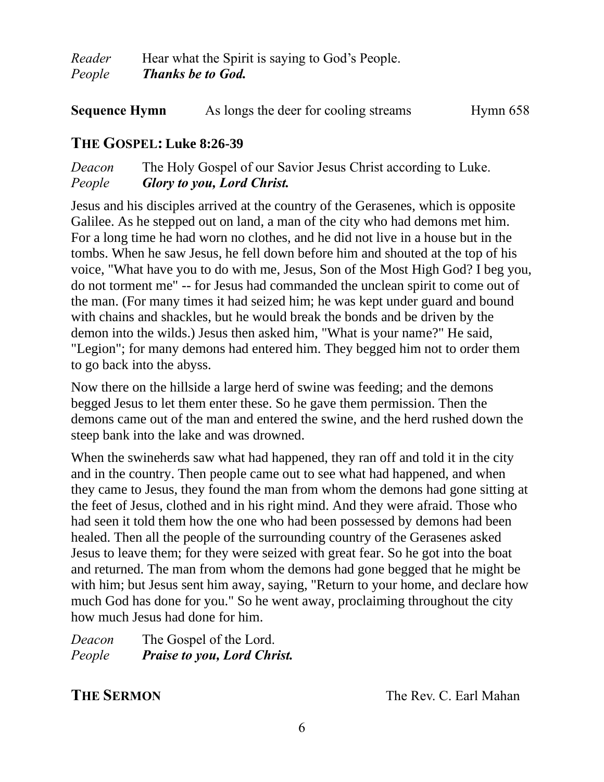| Reader | Hear what the Spirit is saying to God's People. |
|--------|-------------------------------------------------|
| People | <b>Thanks be to God.</b>                        |

### **Sequence Hymn** As longs the deer for cooling streams Hymn 658

#### **THE GOSPEL: Luke 8:26-39**

*Deacon* The Holy Gospel of our Savior Jesus Christ according to Luke. *People Glory to you, Lord Christ.*

Jesus and his disciples arrived at the country of the Gerasenes, which is opposite Galilee. As he stepped out on land, a man of the city who had demons met him. For a long time he had worn no clothes, and he did not live in a house but in the tombs. When he saw Jesus, he fell down before him and shouted at the top of his voice, "What have you to do with me, Jesus, Son of the Most High God? I beg you, do not torment me" -- for Jesus had commanded the unclean spirit to come out of the man. (For many times it had seized him; he was kept under guard and bound with chains and shackles, but he would break the bonds and be driven by the demon into the wilds.) Jesus then asked him, "What is your name?" He said, "Legion"; for many demons had entered him. They begged him not to order them to go back into the abyss.

Now there on the hillside a large herd of swine was feeding; and the demons begged Jesus to let them enter these. So he gave them permission. Then the demons came out of the man and entered the swine, and the herd rushed down the steep bank into the lake and was drowned.

When the swineherds saw what had happened, they ran off and told it in the city and in the country. Then people came out to see what had happened, and when they came to Jesus, they found the man from whom the demons had gone sitting at the feet of Jesus, clothed and in his right mind. And they were afraid. Those who had seen it told them how the one who had been possessed by demons had been healed. Then all the people of the surrounding country of the Gerasenes asked Jesus to leave them; for they were seized with great fear. So he got into the boat and returned. The man from whom the demons had gone begged that he might be with him; but Jesus sent him away, saying, "Return to your home, and declare how much God has done for you." So he went away, proclaiming throughout the city how much Jesus had done for him.

| Deacon | The Gospel of the Lord.            |
|--------|------------------------------------|
| People | <b>Praise to you, Lord Christ.</b> |

**THE SERMON** The Rev. C. Earl Mahan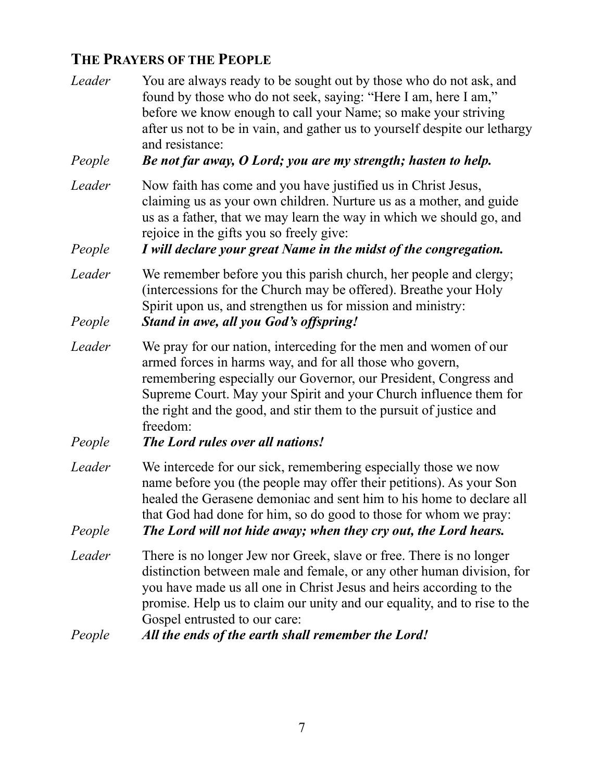# **THE PRAYERS OF THE PEOPLE**

| Leader | You are always ready to be sought out by those who do not ask, and<br>found by those who do not seek, saying: "Here I am, here I am,"<br>before we know enough to call your Name; so make your striving<br>after us not to be in vain, and gather us to yourself despite our lethargy<br>and resistance:                                                 |
|--------|----------------------------------------------------------------------------------------------------------------------------------------------------------------------------------------------------------------------------------------------------------------------------------------------------------------------------------------------------------|
| People | Be not far away, O Lord; you are my strength; hasten to help.                                                                                                                                                                                                                                                                                            |
| Leader | Now faith has come and you have justified us in Christ Jesus,<br>claiming us as your own children. Nurture us as a mother, and guide<br>us as a father, that we may learn the way in which we should go, and<br>rejoice in the gifts you so freely give:                                                                                                 |
| People | I will declare your great Name in the midst of the congregation.                                                                                                                                                                                                                                                                                         |
| Leader | We remember before you this parish church, her people and clergy;<br>(intercessions for the Church may be offered). Breathe your Holy<br>Spirit upon us, and strengthen us for mission and ministry:                                                                                                                                                     |
| People | Stand in awe, all you God's offspring!                                                                                                                                                                                                                                                                                                                   |
| Leader | We pray for our nation, interceding for the men and women of our<br>armed forces in harms way, and for all those who govern,<br>remembering especially our Governor, our President, Congress and<br>Supreme Court. May your Spirit and your Church influence them for<br>the right and the good, and stir them to the pursuit of justice and<br>freedom: |
| People | The Lord rules over all nations!                                                                                                                                                                                                                                                                                                                         |
| Leader | We intercede for our sick, remembering especially those we now<br>name before you (the people may offer their petitions). As your Son<br>healed the Gerasene demoniac and sent him to his home to declare all<br>that God had done for him, so do good to those for whom we pray:                                                                        |
| People | The Lord will not hide away; when they cry out, the Lord hears.                                                                                                                                                                                                                                                                                          |
| Leader | There is no longer Jew nor Greek, slave or free. There is no longer<br>distinction between male and female, or any other human division, for<br>you have made us all one in Christ Jesus and heirs according to the<br>promise. Help us to claim our unity and our equality, and to rise to the<br>Gospel entrusted to our care:                         |
| People | All the ends of the earth shall remember the Lord!                                                                                                                                                                                                                                                                                                       |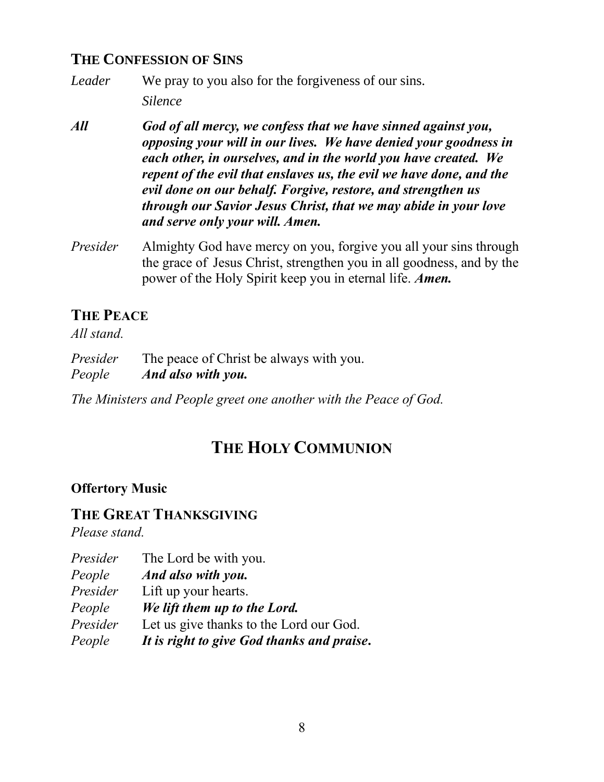## **THE CONFESSION OF SINS**

*Leader* We pray to you also for the forgiveness of our sins. *Silence* 

*All God of all mercy, we confess that we have sinned against you, opposing your will in our lives. We have denied your goodness in each other, in ourselves, and in the world you have created. We repent of the evil that enslaves us, the evil we have done, and the evil done on our behalf. Forgive, restore, and strengthen us through our Savior Jesus Christ, that we may abide in your love and serve only your will. Amen.*

*Presider* Almighty God have mercy on you, forgive you all your sins through the grace of Jesus Christ, strengthen you in all goodness, and by the power of the Holy Spirit keep you in eternal life. *Amen.*

## **THE PEACE**

*All stand.* 

*Presider* The peace of Christ be always with you. *People And also with you.*

*The Ministers and People greet one another with the Peace of God.* 

# **THE HOLY COMMUNION**

## **Offertory Music**

## **THE GREAT THANKSGIVING**

*Please stand.*

| Presider | The Lord be with you.                      |
|----------|--------------------------------------------|
| People   | And also with you.                         |
| Presider | Lift up your hearts.                       |
| People   | We lift them up to the Lord.               |
| Presider | Let us give thanks to the Lord our God.    |
| People   | It is right to give God thanks and praise. |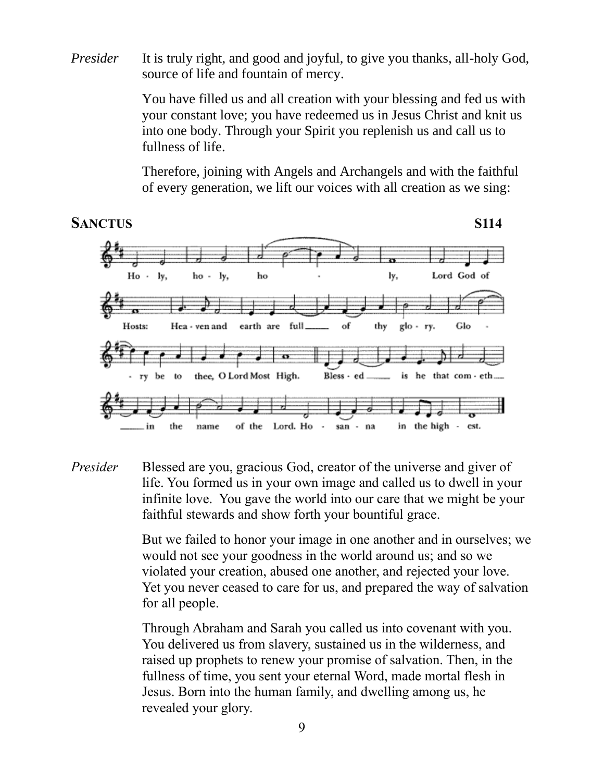*Presider* It is truly right, and good and joyful, to give you thanks, all-holy God, source of life and fountain of mercy.

> You have filled us and all creation with your blessing and fed us with your constant love; you have redeemed us in Jesus Christ and knit us into one body. Through your Spirit you replenish us and call us to fullness of life.

Therefore, joining with Angels and Archangels and with the faithful of every generation, we lift our voices with all creation as we sing:



*Presider* Blessed are you, gracious God, creator of the universe and giver of life. You formed us in your own image and called us to dwell in your infinite love. You gave the world into our care that we might be your faithful stewards and show forth your bountiful grace.

> But we failed to honor your image in one another and in ourselves; we would not see your goodness in the world around us; and so we violated your creation, abused one another, and rejected your love. Yet you never ceased to care for us, and prepared the way of salvation for all people.

Through Abraham and Sarah you called us into covenant with you. You delivered us from slavery, sustained us in the wilderness, and raised up prophets to renew your promise of salvation. Then, in the fullness of time, you sent your eternal Word, made mortal flesh in Jesus. Born into the human family, and dwelling among us, he revealed your glory.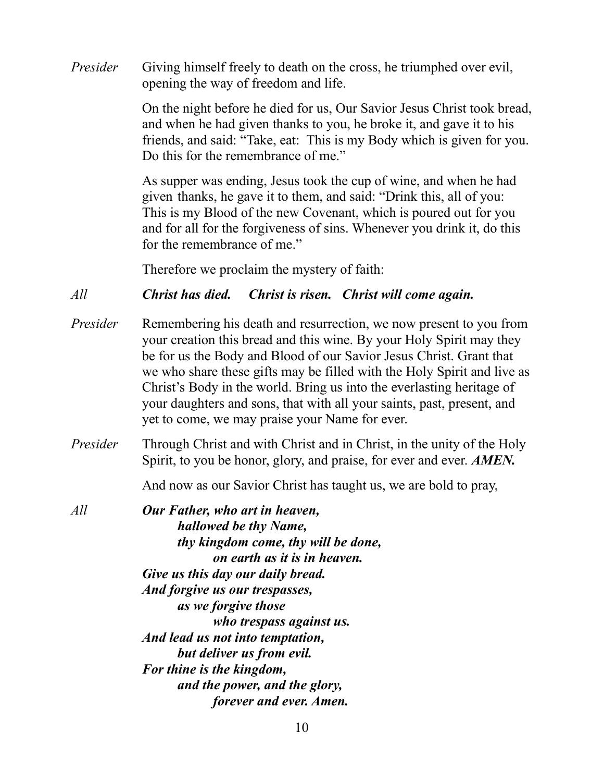*Presider* Giving himself freely to death on the cross, he triumphed over evil, opening the way of freedom and life.

> On the night before he died for us, Our Savior Jesus Christ took bread, and when he had given thanks to you, he broke it, and gave it to his friends, and said: "Take, eat: This is my Body which is given for you. Do this for the remembrance of me."

As supper was ending, Jesus took the cup of wine, and when he had given thanks, he gave it to them, and said: "Drink this, all of you: This is my Blood of the new Covenant, which is poured out for you and for all for the forgiveness of sins. Whenever you drink it, do this for the remembrance of me."

Therefore we proclaim the mystery of faith:

#### *All Christ has died. Christ is risen. Christ will come again.*

- *Presider* Remembering his death and resurrection, we now present to you from your creation this bread and this wine. By your Holy Spirit may they be for us the Body and Blood of our Savior Jesus Christ. Grant that we who share these gifts may be filled with the Holy Spirit and live as Christ's Body in the world. Bring us into the everlasting heritage of your daughters and sons, that with all your saints, past, present, and yet to come, we may praise your Name for ever.
- *Presider* Through Christ and with Christ and in Christ, in the unity of the Holy Spirit, to you be honor, glory, and praise, for ever and ever. *AMEN.*

And now as our Savior Christ has taught us, we are bold to pray,

*All Our Father, who art in heaven, hallowed be thy Name, thy kingdom come, thy will be done, on earth as it is in heaven. Give us this day our daily bread. And forgive us our trespasses, as we forgive those who trespass against us. And lead us not into temptation, but deliver us from evil. For thine is the kingdom, and the power, and the glory, forever and ever. Amen.*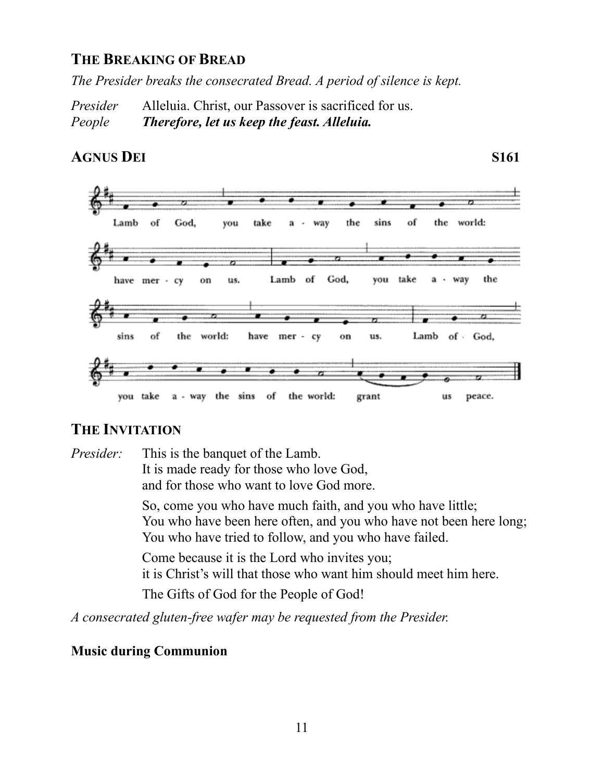## **THE BREAKING OF BREAD**

*The Presider breaks the consecrated Bread. A period of silence is kept.*

*Presider* Alleluia. Christ, our Passover is sacrificed for us. *People Therefore, let us keep the feast. Alleluia.*

## **AGNUS DEI S161**



## **THE INVITATION**

*Presider:* This is the banquet of the Lamb. It is made ready for those who love God,

and for those who want to love God more.

So, come you who have much faith, and you who have little; You who have been here often, and you who have not been here long; You who have tried to follow, and you who have failed.

Come because it is the Lord who invites you; it is Christ's will that those who want him should meet him here.

The Gifts of God for the People of God!

*A consecrated gluten-free wafer may be requested from the Presider.*

#### **Music during Communion**